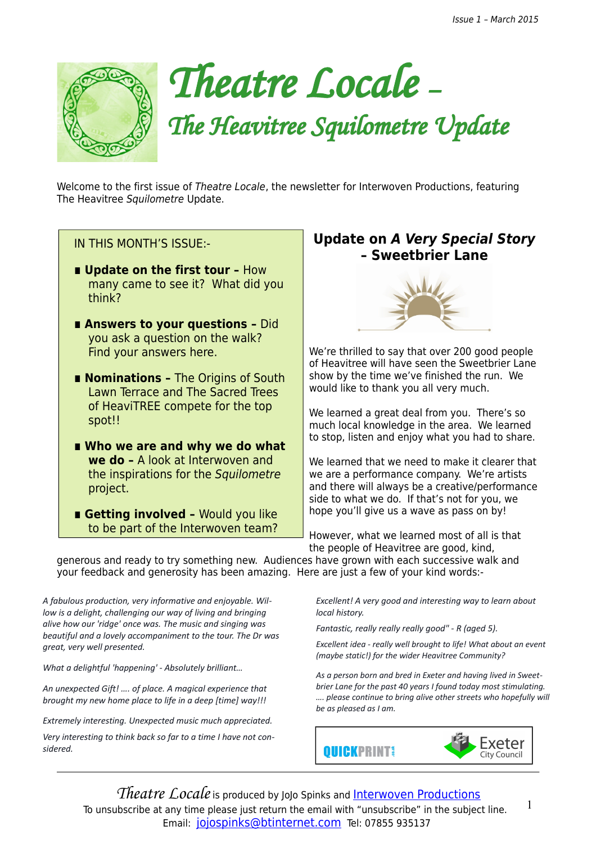

# *Theatre Locale – The Heavitree Squilometre Update*

Welcome to the first issue of Theatre Locale, the newsletter for Interwoven Productions, featuring The Heavitree Squilometre Update.

### IN THIS MONTH'S ISSUE:-

- **Update on the first tour How** many came to see it? What did you think?
- Answers to your questions Did you ask a question on the walk? Find your answers here.
- **Nominations The Origins of South** Lawn Terrace and The Sacred Trees of HeaviTREE compete for the top spot!!
- Who we are and why we do what **we do –** A look at Interwoven and the inspirations for the Squilometre project.
- Getting involved Would you like to be part of the Interwoven team?

# **Update on A Very Special Story – Sweetbrier Lane**



We're thrilled to say that over 200 good people of Heavitree will have seen the Sweetbrier Lane show by the time we've finished the run. We would like to thank you all very much.

We learned a great deal from you. There's so much local knowledge in the area. We learned to stop, listen and enjoy what you had to share.

We learned that we need to make it clearer that we are a performance company. We're artists and there will always be a creative/performance side to what we do. If that's not for you, we hope you'll give us a wave as pass on by!

However, what we learned most of all is that the people of Heavitree are good, kind,

generous and ready to try something new. Audiences have grown with each successive walk and your feedback and generosity has been amazing. Here are just a few of your kind words:-

*A fabulous production, very informative and enjoyable. Willow is a delight, challenging our way of living and bringing alive how our 'ridge' once was. The music and singing was beautiful and a lovely accompaniment to the tour. The Dr was great, very well presented.*

*What a delightful 'happening' - Absolutely brilliant…*

*An unexpected Gift! …. of place. A magical experience that brought my new home place to life in a deep [time] way!!!* 

*Extremely interesting. Unexpected music much appreciated.*

*Very interesting to think back so far to a time I have not considered.*

*Excellent! A very good and interesting way to learn about local history.*

*Fantastic, really really really good" - R (aged 5).* 

*Excellent idea - really well brought to life! What about an event (maybe static!) for the wider Heavitree Community?* 

*As a person born and bred in Exeter and having lived in Sweetbrier Lane for the past 40 years I found today most stimulating. …. please continue to bring alive other streets who hopefully will be as pleased as I am.*



1

*Theatre Locale* is produced by JoJo Spinks and **[Interwoven Productions](http://www.interwovenproductions.weebly.com/)** To unsubscribe at any time please just return the email with "unsubscribe" in the subject line. Email: [jojospinks@btinternet.com](mailto:jojospinks@btinternet.com) Tel: 07855 935137